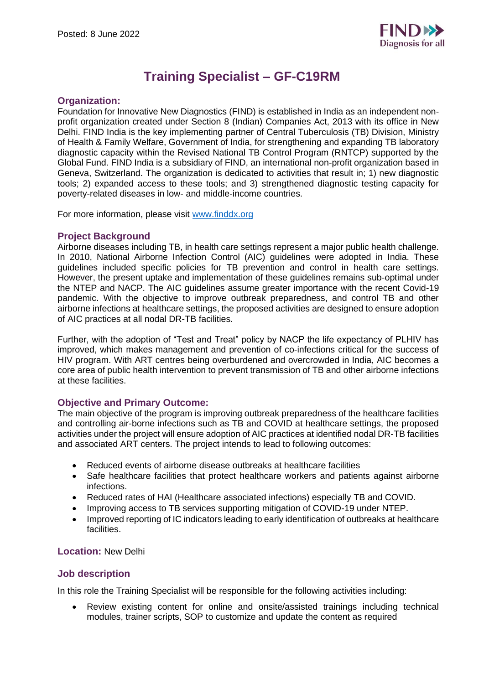

# **Training Specialist – GF-C19RM**

## **Organization:**

Foundation for Innovative New Diagnostics (FIND) is established in India as an independent nonprofit organization created under Section 8 (Indian) Companies Act, 2013 with its office in New Delhi. FIND India is the key implementing partner of Central Tuberculosis (TB) Division, Ministry of Health & Family Welfare, Government of India, for strengthening and expanding TB laboratory diagnostic capacity within the Revised National TB Control Program (RNTCP) supported by the Global Fund. FIND India is a subsidiary of FIND, an international non-profit organization based in Geneva, Switzerland. The organization is dedicated to activities that result in; 1) new diagnostic tools; 2) expanded access to these tools; and 3) strengthened diagnostic testing capacity for poverty-related diseases in low- and middle-income countries.

For more information, please visit [www.finddx.org](http://www.finddx.org/)

## **Project Background**

Airborne diseases including TB, in health care settings represent a major public health challenge. In 2010, National Airborne Infection Control (AIC) guidelines were adopted in India. These guidelines included specific policies for TB prevention and control in health care settings. However, the present uptake and implementation of these guidelines remains sub-optimal under the NTEP and NACP. The AIC guidelines assume greater importance with the recent Covid-19 pandemic. With the objective to improve outbreak preparedness, and control TB and other airborne infections at healthcare settings, the proposed activities are designed to ensure adoption of AIC practices at all nodal DR-TB facilities.

Further, with the adoption of "Test and Treat" policy by NACP the life expectancy of PLHIV has improved, which makes management and prevention of co-infections critical for the success of HIV program. With ART centres being overburdened and overcrowded in India, AIC becomes a core area of public health intervention to prevent transmission of TB and other airborne infections at these facilities.

## **Objective and Primary Outcome:**

The main objective of the program is improving outbreak preparedness of the healthcare facilities and controlling air-borne infections such as TB and COVID at healthcare settings, the proposed activities under the project will ensure adoption of AIC practices at identified nodal DR-TB facilities and associated ART centers. The project intends to lead to following outcomes:

- Reduced events of airborne disease outbreaks at healthcare facilities
- Safe healthcare facilities that protect healthcare workers and patients against airborne infections.
- Reduced rates of HAI (Healthcare associated infections) especially TB and COVID.
- Improving access to TB services supporting mitigation of COVID-19 under NTEP.
- Improved reporting of IC indicators leading to early identification of outbreaks at healthcare facilities.

## **Location:** New Delhi

## **Job description**

In this role the Training Specialist will be responsible for the following activities including:

• Review existing content for online and onsite/assisted trainings including technical modules, trainer scripts, SOP to customize and update the content as required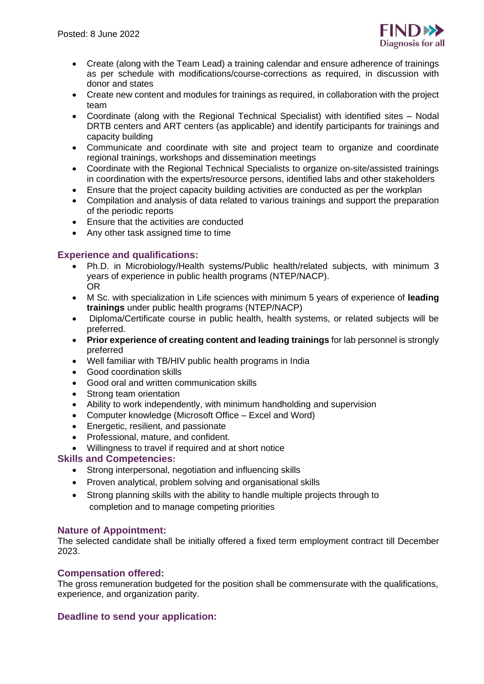

- Create (along with the Team Lead) a training calendar and ensure adherence of trainings as per schedule with modifications/course-corrections as required, in discussion with donor and states
- Create new content and modules for trainings as required, in collaboration with the project team
- Coordinate (along with the Regional Technical Specialist) with identified sites Nodal DRTB centers and ART centers (as applicable) and identify participants for trainings and capacity building
- Communicate and coordinate with site and project team to organize and coordinate regional trainings, workshops and dissemination meetings
- Coordinate with the Regional Technical Specialists to organize on-site/assisted trainings in coordination with the experts/resource persons, identified labs and other stakeholders
- Ensure that the project capacity building activities are conducted as per the workplan
- Compilation and analysis of data related to various trainings and support the preparation of the periodic reports
- Ensure that the activities are conducted
- Any other task assigned time to time

## **Experience and qualifications:**

- Ph.D. in Microbiology/Health systems/Public health/related subjects, with minimum 3 years of experience in public health programs (NTEP/NACP). **OR**
- M Sc. with specialization in Life sciences with minimum 5 years of experience of **leading trainings** under public health programs (NTEP/NACP)
- Diploma/Certificate course in public health, health systems, or related subjects will be preferred.
- **Prior experience of creating content and leading trainings** for lab personnel is strongly preferred
- Well familiar with TB/HIV public health programs in India
- Good coordination skills
- Good oral and written communication skills
- Strong team orientation
- Ability to work independently, with minimum handholding and supervision
- Computer knowledge (Microsoft Office Excel and Word)
- Energetic, resilient, and passionate
- Professional, mature, and confident.
- Willingness to travel if required and at short notice

# **Skills and Competencies:**

- Strong interpersonal, negotiation and influencing skills
- Proven analytical, problem solving and organisational skills
- Strong planning skills with the ability to handle multiple projects through to completion and to manage competing priorities

## **Nature of Appointment:**

The selected candidate shall be initially offered a fixed term employment contract till December 2023.

## **Compensation offered:**

The gross remuneration budgeted for the position shall be commensurate with the qualifications, experience, and organization parity.

# **Deadline to send your application:**